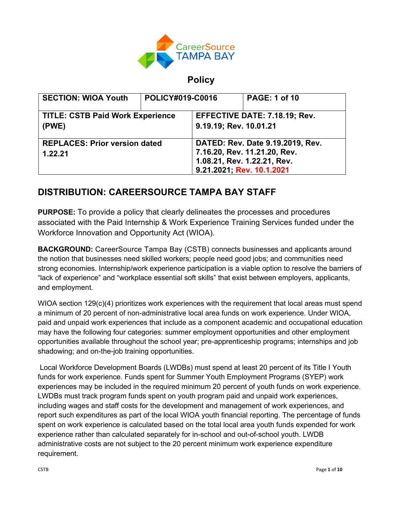

# **Policy**

| <b>SECTION: WIOA Youth</b>              | <b>POLICY#019-C0016</b> |                                  | <b>PAGE: 1 of 10</b> |
|-----------------------------------------|-------------------------|----------------------------------|----------------------|
| <b>TITLE: CSTB Paid Work Experience</b> |                         | EFFECTIVE DATE: 7.18.19; Rev.    |                      |
| (PWE)                                   |                         | 9.19.19; Rev. 10.01.21           |                      |
| <b>REPLACES: Prior version dated</b>    |                         | DATED: Rev. Date 9.19.2019, Rev. |                      |
| 1.22.21                                 |                         | 7.16.20, Rev. 11.21.20, Rev.     |                      |
|                                         |                         | 1.08.21, Rev. 1.22.21, Rev.      |                      |
|                                         |                         | 9.21.2021; Rev. 10.1.2021        |                      |

# **DISTRIBUTION: CAREERSOURCE TAMPA BAY STAFF**

**PURPOSE:** To provide a policy that clearly delineates the processes and procedures associated with the Paid Internship & Work Experience Training Services funded under the Workforce Innovation and Opportunity Act (WIOA).

**BACKGROUND:** CareerSource Tampa Bay (CSTB) connects businesses and applicants around the notion that businesses need skilled workers; people need good jobs; and communities need strong economies. Internship/work experience participation is a viable option to resolve the barriers of "lack of experience" and "workplace essential soft skills" that exist between employers, applicants, and employment.

WIOA section 129(c)(4) prioritizes work experiences with the requirement that local areas must spend a minimum of 20 percent of non-administrative local area funds on work experience. Under WIOA, paid and unpaid work experiences that include as a component academic and occupational education may have the following four categories: summer employment opportunities and other employment opportunities available throughout the school year; pre-apprenticeship programs; internships and job shadowing; and on-the-job training opportunities.

Local Workforce Development Boards (LWDBs) must spend at least 20 percent of its Title I Youth funds for work experience. Funds spent for Summer Youth Employment Programs (SYEP) work experiences may be included in the required minimum 20 percent of youth funds on work experience. LWDBs must track program funds spent on youth program paid and unpaid work experiences, including wages and staff costs for the development and management of work experiences, and report such expenditures as part of the local WIOA youth financial reporting. The percentage of funds spent on work experience is calculated based on the total local area youth funds expended for work experience rather than calculated separately for in-school and out-of-school youth. LWDB administrative costs are not subject to the 20 percent minimum work experience expenditure requirement.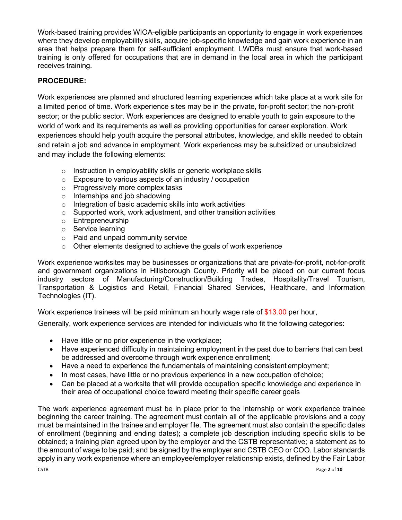Work-based training provides WIOA-eligible participants an opportunity to engage in work experiences where they develop employability skills, acquire job-specific knowledge and gain work experience in an area that helps prepare them for self-sufficient employment. LWDBs must ensure that work-based training is only offered for occupations that are in demand in the local area in which the participant receives training.

# **PROCEDURE:**

Work experiences are planned and structured learning experiences which take place at a work site for a limited period of time. Work experience sites may be in the private, for-profit sector; the non-profit sector; or the public sector. Work experiences are designed to enable youth to gain exposure to the world of work and its requirements as well as providing opportunities for career exploration. Work experiences should help youth acquire the personal attributes, knowledge, and skills needed to obtain and retain a job and advance in employment. Work experiences may be subsidized or unsubsidized and may include the following elements:

- o Instruction in employability skills or generic workplace skills
- o Exposure to various aspects of an industry / occupation
- o Progressively more complex tasks
- $\circ$  Internships and job shadowing
- o Integration of basic academic skills into work activities
- $\circ$  Supported work, work adjustment, and other transition activities
- o Entrepreneurship
- o Service learning
- o Paid and unpaid community service
- $\circ$  Other elements designed to achieve the goals of work experience

Work experience worksites may be businesses or organizations that are private-for-profit, not-for-profit and government organizations in Hillsborough County. Priority will be placed on our current focus industry sectors of Manufacturing/Construction/Building Trades, Hospitality/Travel Tourism, Transportation & Logistics and Retail, Financial Shared Services, Healthcare, and Information Technologies (IT).

Work experience trainees will be paid minimum an hourly wage rate of \$13.00 per hour,

Generally, work experience services are intended for individuals who fit the following categories:

- Have little or no prior experience in the workplace;
- Have experienced difficulty in maintaining employment in the past due to barriers that can best be addressed and overcome through work experience enrollment;
- Have a need to experience the fundamentals of maintaining consistent employment;
- In most cases, have little or no previous experience in a new occupation of choice;
- Can be placed at a worksite that will provide occupation specific knowledge and experience in their area of occupational choice toward meeting their specific career goals

The work experience agreement must be in place prior to the internship or work experience trainee beginning the career training. The agreement must contain all of the applicable provisions and a copy must be maintained in the trainee and employer file. The agreement must also contain the specific dates of enrollment (beginning and ending dates); a complete job description including specific skills to be obtained; a training plan agreed upon by the employer and the CSTB representative; a statement as to the amount of wage to be paid; and be signed by the employer and CSTB CEO or COO. Labor standards apply in any work experience where an employee/employer relationship exists, defined by the Fair Labor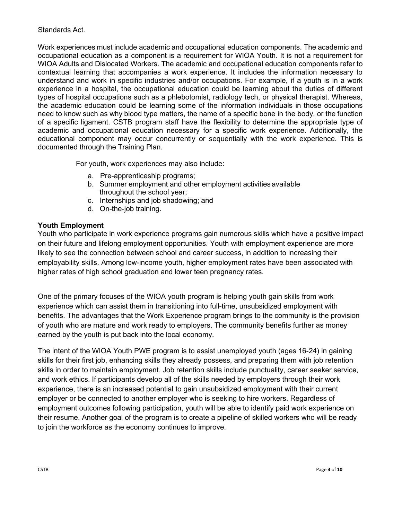#### Standards Act.

Work experiences must include academic and occupational education components. The academic and occupational education as a component is a requirement for WIOA Youth. It is not a requirement for WIOA Adults and Dislocated Workers. The academic and occupational education components refer to contextual learning that accompanies a work experience. It includes the information necessary to understand and work in specific industries and/or occupations. For example, if a youth is in a work experience in a hospital, the occupational education could be learning about the duties of different types of hospital occupations such as a phlebotomist, radiology tech, or physical therapist. Whereas, the academic education could be learning some of the information individuals in those occupations need to know such as why blood type matters, the name of a specific bone in the body, or the function of a specific ligament. CSTB program staff have the flexibility to determine the appropriate type of academic and occupational education necessary for a specific work experience. Additionally, the educational component may occur concurrently or sequentially with the work experience. This is documented through the Training Plan.

For youth, work experiences may also include:

- a. Pre-apprenticeship programs;
- b. Summer employment and other employment activities available throughout the school year;
- c. Internships and job shadowing; and
- d. On-the-job training.

#### **Youth Employment**

Youth who participate in work experience programs gain numerous skills which have a positive impact on their future and lifelong employment opportunities. Youth with employment experience are more likely to see the connection between school and career success, in addition to increasing their employability skills. Among low-income youth, higher employment rates have been associated with higher rates of high school graduation and lower teen pregnancy rates.

One of the primary focuses of the WIOA youth program is helping youth gain skills from work experience which can assist them in transitioning into full-time, unsubsidized employment with benefits. The advantages that the Work Experience program brings to the community is the provision of youth who are mature and work ready to employers. The community benefits further as money earned by the youth is put back into the local economy.

The intent of the WIOA Youth PWE program is to assist unemployed youth (ages 16-24) in gaining skills for their first job, enhancing skills they already possess, and preparing them with job retention skills in order to maintain employment. Job retention skills include punctuality, career seeker service, and work ethics. If participants develop all of the skills needed by employers through their work experience, there is an increased potential to gain unsubsidized employment with their current employer or be connected to another employer who is seeking to hire workers. Regardless of employment outcomes following participation, youth will be able to identify paid work experience on their resume. Another goal of the program is to create a pipeline of skilled workers who will be ready to join the workforce as the economy continues to improve.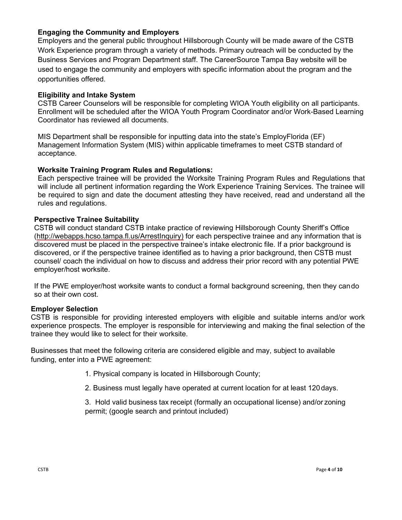## **Engaging the Community and Employers**

Employers and the general public throughout Hillsborough County will be made aware of the CSTB Work Experience program through a variety of methods. Primary outreach will be conducted by the Business Services and Program Department staff. The CareerSource Tampa Bay website will be used to engage the community and employers with specific information about the program and the opportunities offered.

### **Eligibility and Intake System**

CSTB Career Counselors will be responsible for completing WIOA Youth eligibility on all participants. Enrollment will be scheduled after the WIOA Youth Program Coordinator and/or Work-Based Learning Coordinator has reviewed all documents.

MIS Department shall be responsible for inputting data into the state's EmployFlorida (EF) Management Information System (MIS) within applicable timeframes to meet CSTB standard of acceptance.

#### **Worksite Training Program Rules and Regulations:**

Each perspective trainee will be provided the Worksite Training Program Rules and Regulations that will include all pertinent information regarding the Work Experience Training Services. The trainee will be required to sign and date the document attesting they have received, read and understand all the rules and regulations.

#### **Perspective Trainee Suitability**

CSTB will conduct standard CSTB intake practice of reviewing Hillsborough County Sheriff's Office [\(http://webapps.hcso.tampa.fl.us/ArrestInquiry\)](http://webapps.hcso.tampa.fl.us/ArrestInquiry) for each perspective trainee and any information that is discovered must be placed in the perspective trainee's intake electronic file. If a prior background is discovered, or if the perspective trainee identified as to having a prior background, then CSTB must counsel/ coach the individual on how to discuss and address their prior record with any potential PWE employer/host worksite.

If the PWE employer/host worksite wants to conduct a formal background screening, then they cando so at their own cost.

#### **Employer Selection**

CSTB is responsible for providing interested employers with eligible and suitable interns and/or work experience prospects. The employer is responsible for interviewing and making the final selection of the trainee they would like to select for their worksite.

Businesses that meet the following criteria are considered eligible and may, subject to available funding, enter into a PWE agreement:

- 1. Physical company is located in Hillsborough County;
- 2. Business must legally have operated at current location for at least 120days.

3. Hold valid business tax receipt (formally an occupational license) and/or zoning permit; (google search and printout included)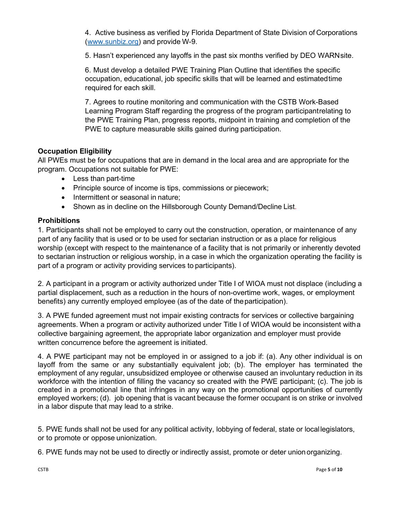4. Active business as verified by Florida Department of State Division of Corporations [\(www.sunbiz.org\)](http://www.sunbiz.org/) and provide W-9.

5. Hasn't experienced any layoffs in the past six months verified by DEO WARNsite.

6. Must develop a detailed PWE Training Plan Outline that identifies the specific occupation, educational, job specific skills that will be learned and estimatedtime required for each skill.

7. Agrees to routine monitoring and communication with the CSTB Work-Based Learning Program Staff regarding the progress of the program participantrelating to the PWE Training Plan, progress reports, midpoint in training and completion of the PWE to capture measurable skills gained during participation.

# **Occupation Eligibility**

All PWEs must be for occupations that are in demand in the local area and are appropriate for the program. Occupations not suitable for PWE:

- Less than part-time
- Principle source of income is tips, commissions or piecework;
- Intermittent or seasonal in nature:
- Shown as in decline on the Hillsborough County Demand/Decline List.

## **Prohibitions**

1. Participants shall not be employed to carry out the construction, operation, or maintenance of any part of any facility that is used or to be used for sectarian instruction or as a place for religious worship (except with respect to the maintenance of a facility that is not primarily or inherently devoted to sectarian instruction or religious worship, in a case in which the organization operating the facility is part of a program or activity providing services to participants).

2. A participant in a program or activity authorized under Title I of WIOA must not displace (including a partial displacement, such as a reduction in the hours of non-overtime work, wages, or employment benefits) any currently employed employee (as of the date of theparticipation).

3. A PWE funded agreement must not impair existing contracts for services or collective bargaining agreements. When a program or activity authorized under Title I of WIOA would be inconsistent witha collective bargaining agreement, the appropriate labor organization and employer must provide written concurrence before the agreement is initiated.

4. A PWE participant may not be employed in or assigned to a job if: (a). Any other individual is on layoff from the same or any substantially equivalent job; (b). The employer has terminated the employment of any regular, unsubsidized employee or otherwise caused an involuntary reduction in its workforce with the intention of filling the vacancy so created with the PWE participant; (c). The job is created in a promotional line that infringes in any way on the promotional opportunities of currently employed workers; (d). job opening that is vacant because the former occupant is on strike or involved in a labor dispute that may lead to a strike.

5. PWE funds shall not be used for any political activity, lobbying of federal, state or locallegislators, or to promote or oppose unionization.

6. PWE funds may not be used to directly or indirectly assist, promote or deter union organizing.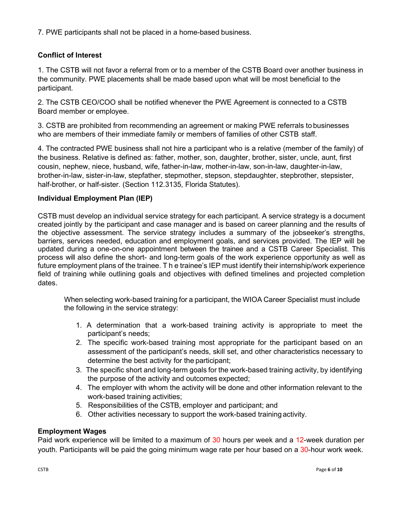7. PWE participants shall not be placed in a home-based business.

# **Conflict of Interest**

1. The CSTB will not favor a referral from or to a member of the CSTB Board over another business in the community. PWE placements shall be made based upon what will be most beneficial to the participant.

2. The CSTB CEO/COO shall be notified whenever the PWE Agreement is connected to a CSTB Board member or employee.

3. CSTB are prohibited from recommending an agreement or making PWE referrals to businesses who are members of their immediate family or members of families of other CSTB staff.

4. The contracted PWE business shall not hire a participant who is a relative (member of the family) of the business. Relative is defined as: father, mother, son, daughter, brother, sister, uncle, aunt, first cousin, nephew, niece, husband, wife, father-in-law, mother-in-law, son-in-law, daughter-in-law, brother-in-law, sister-in-law, stepfather, stepmother, stepson, stepdaughter, stepbrother, stepsister, half-brother, or half-sister. (Section 112.3135, Florida Statutes).

# **Individual Employment Plan (IEP)**

CSTB must develop an individual service strategy for each participant. A service strategy is a document created jointly by the participant and case manager and is based on career planning and the results of the objective assessment. The service strategy includes a summary of the jobseeker's strengths, barriers, services needed, education and employment goals, and services provided. The IEP will be updated during a one-on-one appointment between the trainee and a CSTB Career Specialist. This process will also define the short- and long-term goals of the work experience opportunity as well as future employment plans of the trainee. T h e trainee's IEP must identify their internship/work experience field of training while outlining goals and objectives with defined timelines and projected completion dates.

When selecting work-based training for a participant, the WIOA Career Specialist must include the following in the service strategy:

- 1. A determination that a work-based training activity is appropriate to meet the participant's needs;
- 2. The specific work-based training most appropriate for the participant based on an assessment of the participant's needs, skill set, and other characteristics necessary to determine the best activity for the participant;
- 3. The specific short and long-term goals for the work-based training activity, by identifying the purpose of the activity and outcomes expected;
- 4. The employer with whom the activity will be done and other information relevant to the work-based training activities;
- 5. Responsibilities of the CSTB, employer and participant; and
- 6. Other activities necessary to support the work-based training activity.

# **Employment Wages**

Paid work experience will be limited to a maximum of 30 hours per week and a 12-week duration per youth. Participants will be paid the going minimum wage rate per hour based on a 30-hour work week.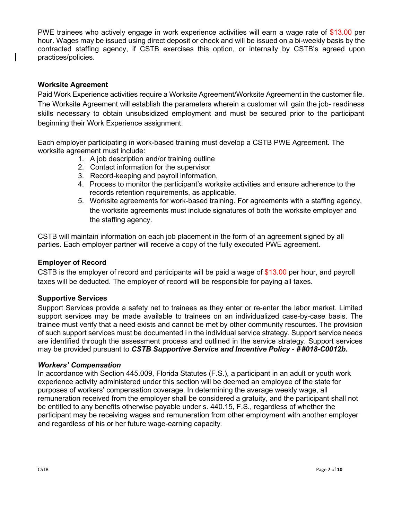PWE trainees who actively engage in work experience activities will earn a wage rate of \$13.00 per hour. Wages may be issued using direct deposit or check and will be issued on a bi-weekly basis by the contracted staffing agency, if CSTB exercises this option, or internally by CSTB's agreed upon practices/policies.

## **Worksite Agreement**

Paid Work Experience activities require a Worksite Agreement/Worksite Agreement in the customer file. The Worksite Agreement will establish the parameters wherein a customer will gain the job- readiness skills necessary to obtain unsubsidized employment and must be secured prior to the participant beginning their Work Experience assignment.

Each employer participating in work-based training must develop a CSTB PWE Agreement. The worksite agreement must include:

- 1. A job description and/or training outline
- 2. Contact information for the supervisor
- 3. Record-keeping and payroll information,
- 4. Process to monitor the participant's worksite activities and ensure adherence to the records retention requirements, as applicable.
- 5. Worksite agreements for work-based training. For agreements with a staffing agency, the worksite agreements must include signatures of both the worksite employer and the staffing agency.

CSTB will maintain information on each job placement in the form of an agreement signed by all parties. Each employer partner will receive a copy of the fully executed PWE agreement.

#### **Employer of Record**

CSTB is the employer of record and participants will be paid a wage of \$13.00 per hour, and payroll taxes will be deducted. The employer of record will be responsible for paying all taxes.

#### **Supportive Services**

Support Services provide a safety net to trainees as they enter or re-enter the labor market. Limited support services may be made available to trainees on an individualized case-by-case basis. The trainee must verify that a need exists and cannot be met by other community resources. The provision of such support services must be documented i n the individual service strategy. Support service needs are identified through the assessment process and outlined in the service strategy. Support services may be provided pursuant to *CSTB Supportive Service and Incentive Policy - # #018-C0012b.*

#### *Workers' Compensation*

In accordance with Section 445.009, Florida Statutes (F.S.), a participant in an adult or youth work experience activity administered under this section will be deemed an employee of the state for purposes of workers' compensation coverage. In determining the average weekly wage, all remuneration received from the employer shall be considered a gratuity, and the participant shall not be entitled to any benefits otherwise payable under s. 440.15, F.S., regardless of whether the participant may be receiving wages and remuneration from other employment with another employer and regardless of his or her future wage-earning capacity*.*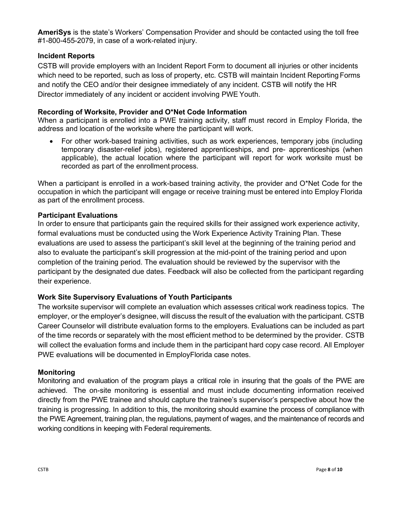**AmeriSys** is the state's Workers' Compensation Provider and should be contacted using the toll free #1-800-455-2079, in case of a work-related injury.

# **Incident Reports**

CSTB will provide employers with an Incident Report Form to document all injuries or other incidents which need to be reported, such as loss of property, etc. CSTB will maintain Incident Reporting Forms and notify the CEO and/or their designee immediately of any incident. CSTB will notify the HR Director immediately of any incident or accident involving PWE Youth.

# **Recording of Worksite, Provider and O\*Net Code Information**

When a participant is enrolled into a PWE training activity, staff must record in Employ Florida, the address and location of the worksite where the participant will work.

• For other work-based training activities, such as work experiences, temporary jobs (including temporary disaster-relief jobs), registered apprenticeships, and pre- apprenticeships (when applicable), the actual location where the participant will report for work worksite must be recorded as part of the enrollment process.

When a participant is enrolled in a work-based training activity, the provider and O\*Net Code for the occupation in which the participant will engage or receive training must be entered into Employ Florida as part of the enrollment process.

# **Participant Evaluations**

In order to ensure that participants gain the required skills for their assigned work experience activity, formal evaluations must be conducted using the Work Experience Activity Training Plan. These evaluations are used to assess the participant's skill level at the beginning of the training period and also to evaluate the participant's skill progression at the mid-point of the training period and upon completion of the training period. The evaluation should be reviewed by the supervisor with the participant by the designated due dates. Feedback will also be collected from the participant regarding their experience.

## **Work Site Supervisory Evaluations of Youth Participants**

The worksite supervisor will complete an evaluation which assesses critical work readiness topics. The employer, or the employer's designee, will discuss the result of the evaluation with the participant. CSTB Career Counselor will distribute evaluation forms to the employers. Evaluations can be included as part of the time records or separately with the most efficient method to be determined by the provider. CSTB will collect the evaluation forms and include them in the participant hard copy case record. All Employer PWE evaluations will be documented in EmployFlorida case notes.

## **Monitoring**

Monitoring and evaluation of the program plays a critical role in insuring that the goals of the PWE are achieved. The on-site monitoring is essential and must include documenting information received directly from the PWE trainee and should capture the trainee's supervisor's perspective about how the training is progressing. In addition to this, the monitoring should examine the process of compliance with the PWE Agreement, training plan, the regulations, payment of wages, and the maintenance of records and working conditions in keeping with Federal requirements.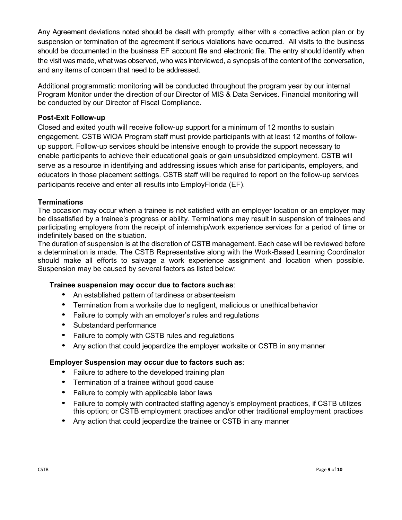Any Agreement deviations noted should be dealt with promptly, either with a corrective action plan or by suspension or termination of the agreement if serious violations have occurred. All visits to the business should be documented in the business EF account file and electronic file. The entry should identify when the visit was made, what was observed, who was interviewed, a synopsis of the content of the conversation, and any items of concern that need to be addressed.

Additional programmatic monitoring will be conducted throughout the program year by our internal Program Monitor under the direction of our Director of MIS & Data Services. Financial monitoring will be conducted by our Director of Fiscal Compliance.

# **Post-Exit Follow-up**

Closed and exited youth will receive follow-up support for a minimum of 12 months to sustain engagement. CSTB WIOA Program staff must provide participants with at least 12 months of followup support. Follow-up services should be intensive enough to provide the support necessary to enable participants to achieve their educational goals or gain unsubsidized employment. CSTB will serve as a resource in identifying and addressing issues which arise for participants, employers, and educators in those placement settings. CSTB staff will be required to report on the follow-up services participants receive and enter all results into EmployFlorida (EF).

## **Terminations**

The occasion may occur when a trainee is not satisfied with an employer location or an employer may be dissatisfied by a trainee's progress or ability. Terminations may result in suspension of trainees and participating employers from the receipt of internship/work experience services for a period of time or indefinitely based on the situation.

The duration of suspension is at the discretion of CSTB management. Each case will be reviewed before a determination is made. The CSTB Representative along with the Work-Based Learning Coordinator should make all efforts to salvage a work experience assignment and location when possible. Suspension may be caused by several factors as listed below:

## **Trainee suspension may occur due to factors such as**:

- An established pattern of tardiness or absenteeism
- Termination from a worksite due to negligent, malicious or unethical behavior
- Failure to comply with an employer's rules and regulations
- Substandard performance
- Failure to comply with CSTB rules and regulations
- Any action that could jeopardize the employer worksite or CSTB in any manner

## **Employer Suspension may occur due to factors such as**:

- Failure to adhere to the developed training plan
- Termination of a trainee without good cause
- Failure to comply with applicable labor laws
- Failure to comply with contracted staffing agency's employment practices, if CSTB utilizes this option; or CSTB employment practices and/or other traditional employment practices
- Any action that could jeopardize the trainee or CSTB in any manner